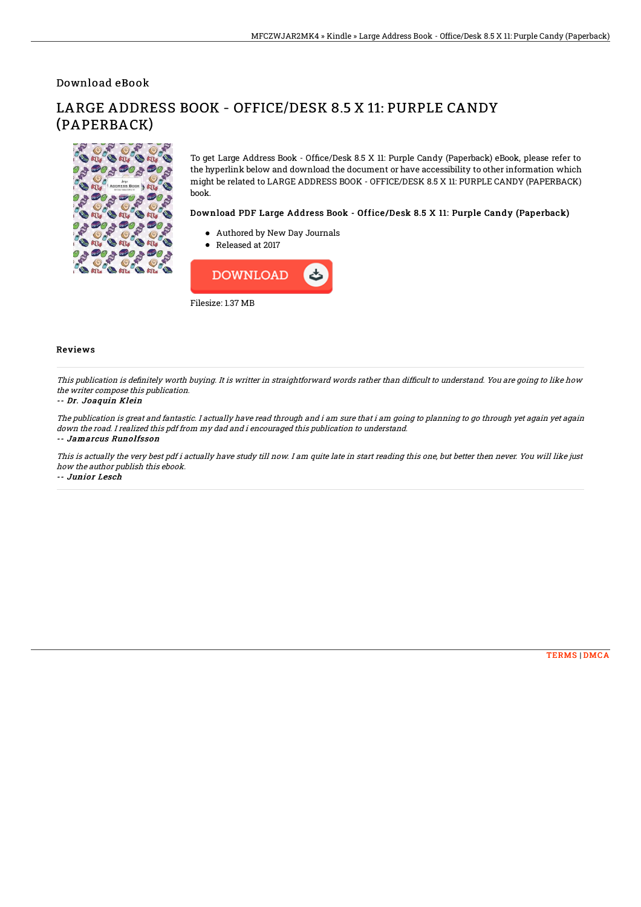Download eBook

#### $\bullet$  $90 + 90 +$  $800$  $\mathbf{F}$ €  $\mathcal{P}$ B **ATL** AT. **ATL**  $\frac{1}{6}90 + 90 + 90$  $\sqrt{\circ}$ **BAL BAL**  $\mathfrak{B}$   $\mathfrak{m}_i$ **S**  $300$ **Sol** an **SA ATT**

LARGE ADDRESS BOOK - OFFICE/DESK 8.5 X 11: PURPLE CANDY (PAPERBACK)

> To get Large Address Book - Office/Desk 8.5 X 11: Purple Candy (Paperback) eBook, please refer to the hyperlink below and download the document or have accessibility to other information which might be related to LARGE ADDRESS BOOK - OFFICE/DESK 8.5 X 11: PURPLE CANDY (PAPERBACK) book.

## Download PDF Large Address Book - Office/Desk 8.5 X 11: Purple Candy (Paperback)

- Authored by New Day Journals
- Released at 2017



### Reviews

This publication is definitely worth buying. It is writter in straightforward words rather than difficult to understand. You are going to like how the writer compose this publication.

#### -- Dr. Joaquin Klein

The publication is great and fantastic. I actually have read through and i am sure that i am going to planning to go through yet again yet again down the road. I realized this pdf from my dad and i encouraged this publication to understand.

#### -- Jamarcus Runolfsson

This is actually the very best pdf i actually have study till now. I am quite late in start reading this one, but better then never. You will like just how the author publish this ebook.

-- Junior Lesch